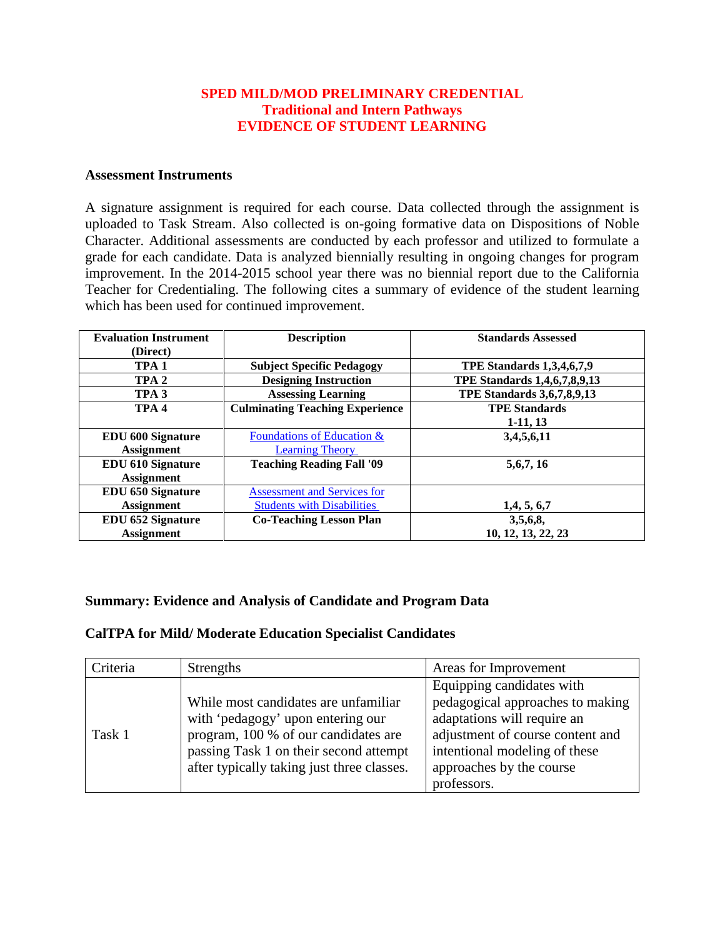### **SPED MILD/MOD PRELIMINARY CREDENTIAL Traditional and Intern Pathways EVIDENCE OF STUDENT LEARNING**

#### **Assessment Instruments**

A signature assignment is required for each course. Data collected through the assignment is uploaded to Task Stream. Also collected is on-going formative data on Dispositions of Noble Character. Additional assessments are conducted by each professor and utilized to formulate a grade for each candidate. Data is analyzed biennially resulting in ongoing changes for program improvement. In the 2014-2015 school year there was no biennial report due to the California Teacher for Credentialing. The following cites a summary of evidence of the student learning which has been used for continued improvement.

| <b>Evaluation Instrument</b> | <b>Description</b>                     | <b>Standards Assessed</b>           |
|------------------------------|----------------------------------------|-------------------------------------|
| (Direct)                     |                                        |                                     |
| TPA <sub>1</sub>             | <b>Subject Specific Pedagogy</b>       | <b>TPE Standards 1,3,4,6,7,9</b>    |
| TPA <sub>2</sub>             | <b>Designing Instruction</b>           | <b>TPE Standards 1,4,6,7,8,9,13</b> |
| TPA <sub>3</sub>             | <b>Assessing Learning</b>              | <b>TPE Standards 3,6,7,8,9,13</b>   |
| TPA <sub>4</sub>             | <b>Culminating Teaching Experience</b> | <b>TPE Standards</b>                |
|                              |                                        | $1-11, 13$                          |
| <b>EDU 600 Signature</b>     | Foundations of Education &             | 3,4,5,6,11                          |
| <b>Assignment</b>            | <b>Learning Theory</b>                 |                                     |
| <b>EDU 610 Signature</b>     | <b>Teaching Reading Fall '09</b>       | 5, 6, 7, 16                         |
| <b>Assignment</b>            |                                        |                                     |
| <b>EDU 650 Signature</b>     | <b>Assessment and Services for</b>     |                                     |
| <b>Assignment</b>            | <b>Students with Disabilities</b>      | 1,4,5,6,7                           |
| <b>EDU 652 Signature</b>     | <b>Co-Teaching Lesson Plan</b>         | 3,5,6,8,                            |
| <b>Assignment</b>            |                                        | 10, 12, 13, 22, 23                  |

#### **Summary: Evidence and Analysis of Candidate and Program Data**

#### **CalTPA for Mild/ Moderate Education Specialist Candidates**

| Criteria | <b>Strengths</b>                                                                                                                                                                                          | Areas for Improvement                                                                                                                                                                                        |
|----------|-----------------------------------------------------------------------------------------------------------------------------------------------------------------------------------------------------------|--------------------------------------------------------------------------------------------------------------------------------------------------------------------------------------------------------------|
| Task 1   | While most candidates are unfamiliar<br>with 'pedagogy' upon entering our<br>program, 100 % of our candidates are<br>passing Task 1 on their second attempt<br>after typically taking just three classes. | Equipping candidates with<br>pedagogical approaches to making<br>adaptations will require an<br>adjustment of course content and<br>intentional modeling of these<br>approaches by the course<br>professors. |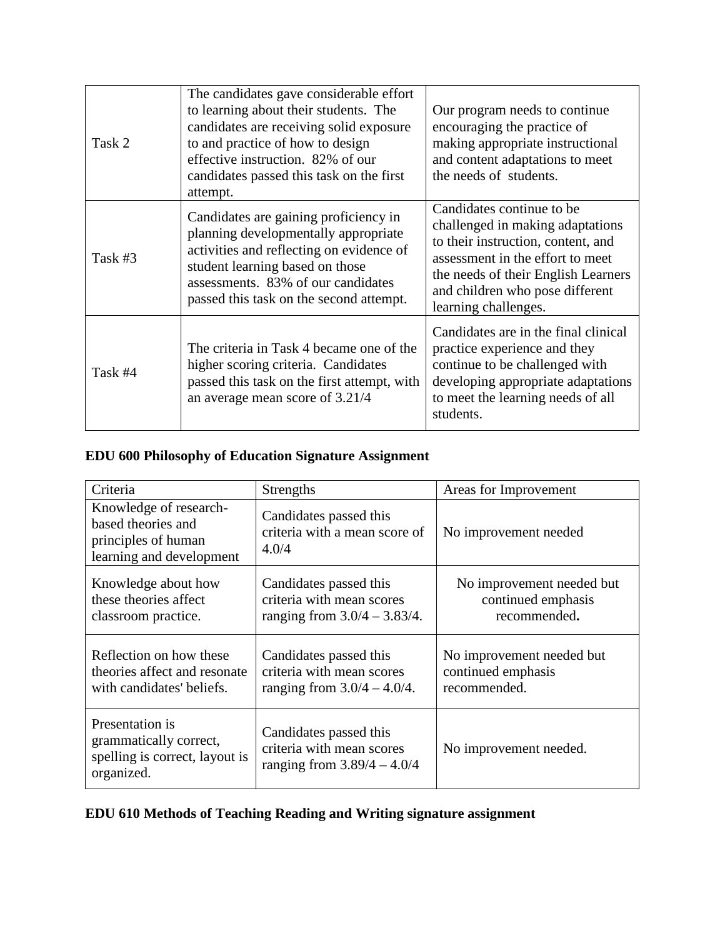| Task 2  | The candidates gave considerable effort<br>to learning about their students. The<br>candidates are receiving solid exposure<br>to and practice of how to design<br>effective instruction. 82% of our<br>candidates passed this task on the first<br>attempt. | Our program needs to continue.<br>encouraging the practice of<br>making appropriate instructional<br>and content adaptations to meet<br>the needs of students.                                                                            |
|---------|--------------------------------------------------------------------------------------------------------------------------------------------------------------------------------------------------------------------------------------------------------------|-------------------------------------------------------------------------------------------------------------------------------------------------------------------------------------------------------------------------------------------|
| Task #3 | Candidates are gaining proficiency in<br>planning developmentally appropriate<br>activities and reflecting on evidence of<br>student learning based on those<br>assessments. 83% of our candidates<br>passed this task on the second attempt.                | Candidates continue to be<br>challenged in making adaptations<br>to their instruction, content, and<br>assessment in the effort to meet<br>the needs of their English Learners<br>and children who pose different<br>learning challenges. |
| Task #4 | The criteria in Task 4 became one of the<br>higher scoring criteria. Candidates<br>passed this task on the first attempt, with<br>an average mean score of 3.21/4                                                                                            | Candidates are in the final clinical<br>practice experience and they<br>continue to be challenged with<br>developing appropriate adaptations<br>to meet the learning needs of all<br>students.                                            |

## **EDU 600 Philosophy of Education Signature Assignment**

| Criteria                                                                                        | <b>Strengths</b>                                                                       | Areas for Improvement                                           |
|-------------------------------------------------------------------------------------------------|----------------------------------------------------------------------------------------|-----------------------------------------------------------------|
| Knowledge of research-<br>based theories and<br>principles of human<br>learning and development | Candidates passed this<br>criteria with a mean score of<br>4.0/4                       | No improvement needed                                           |
| Knowledge about how<br>these theories affect<br>classroom practice.                             | Candidates passed this<br>criteria with mean scores<br>ranging from $3.0/4 - 3.83/4$ . | No improvement needed but<br>continued emphasis<br>recommended. |
| Reflection on how these<br>theories affect and resonate<br>with candidates' beliefs.            | Candidates passed this<br>criteria with mean scores<br>ranging from $3.0/4 - 4.0/4$ .  | No improvement needed but<br>continued emphasis<br>recommended. |
| Presentation is<br>grammatically correct,<br>spelling is correct, layout is<br>organized.       | Candidates passed this<br>criteria with mean scores<br>ranging from $3.89/4 - 4.0/4$   | No improvement needed.                                          |

# **EDU 610 Methods of Teaching Reading and Writing signature assignment**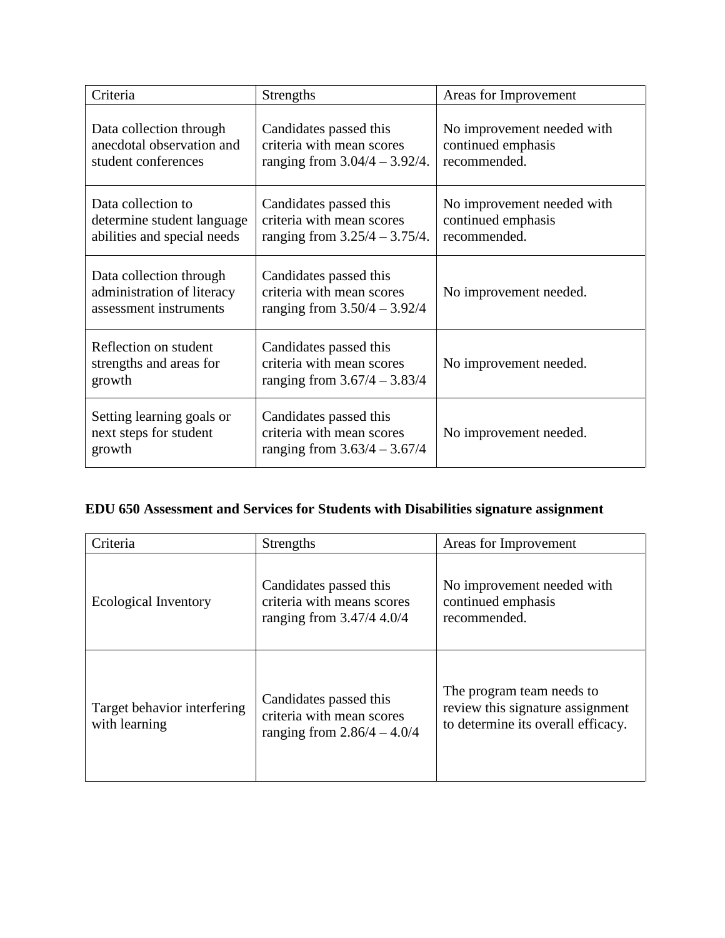| Criteria                                                                        | <b>Strengths</b>                                                                        | Areas for Improvement                                            |
|---------------------------------------------------------------------------------|-----------------------------------------------------------------------------------------|------------------------------------------------------------------|
| Data collection through<br>anecdotal observation and<br>student conferences     | Candidates passed this<br>criteria with mean scores<br>ranging from $3.04/4 - 3.92/4$ . | No improvement needed with<br>continued emphasis<br>recommended. |
| Data collection to<br>determine student language<br>abilities and special needs | Candidates passed this<br>criteria with mean scores<br>ranging from $3.25/4 - 3.75/4$ . | No improvement needed with<br>continued emphasis<br>recommended. |
| Data collection through<br>administration of literacy<br>assessment instruments | Candidates passed this<br>criteria with mean scores<br>ranging from $3.50/4 - 3.92/4$   | No improvement needed.                                           |
| Reflection on student<br>strengths and areas for<br>growth                      | Candidates passed this<br>criteria with mean scores<br>ranging from $3.67/4 - 3.83/4$   | No improvement needed.                                           |
| Setting learning goals or<br>next steps for student<br>growth                   | Candidates passed this<br>criteria with mean scores<br>ranging from $3.63/4 - 3.67/4$   | No improvement needed.                                           |

# **EDU 650 Assessment and Services for Students with Disabilities signature assignment**

| Criteria                                     | Strengths                                                                            | Areas for Improvement                                                                               |
|----------------------------------------------|--------------------------------------------------------------------------------------|-----------------------------------------------------------------------------------------------------|
| Ecological Inventory                         | Candidates passed this<br>criteria with means scores<br>ranging from $3.47/4$ 4.0/4  | No improvement needed with<br>continued emphasis<br>recommended.                                    |
| Target behavior interfering<br>with learning | Candidates passed this<br>criteria with mean scores<br>ranging from $2.86/4 - 4.0/4$ | The program team needs to<br>review this signature assignment<br>to determine its overall efficacy. |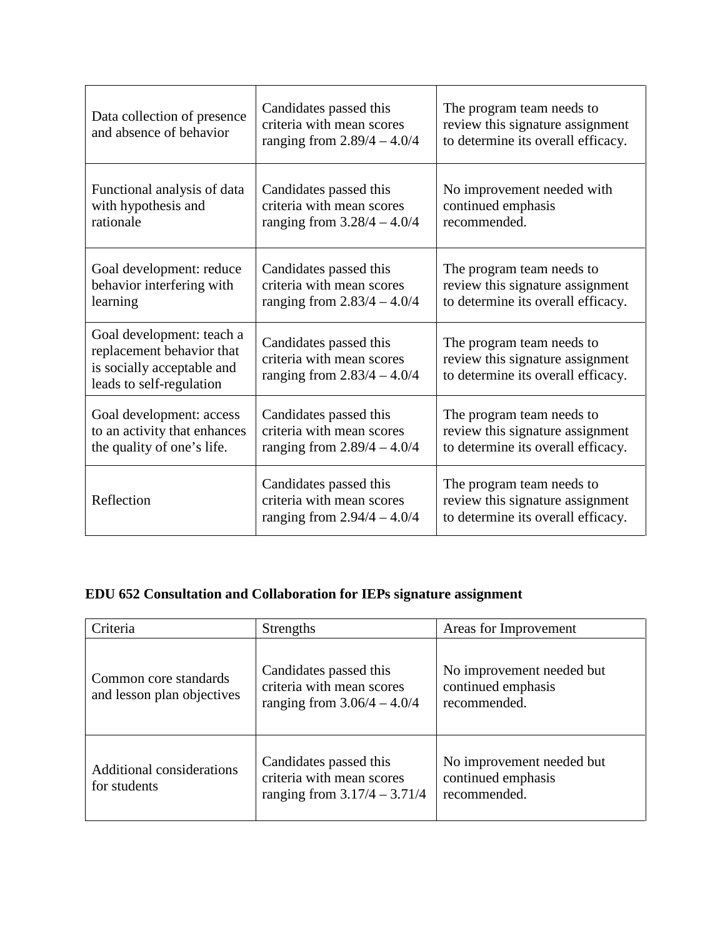| Data collection of presence<br>and absence of behavior                                                           | Candidates passed this<br>criteria with mean scores<br>ranging from $2.89/4 - 4.0/4$ | The program team needs to<br>review this signature assignment<br>to determine its overall efficacy. |
|------------------------------------------------------------------------------------------------------------------|--------------------------------------------------------------------------------------|-----------------------------------------------------------------------------------------------------|
| Functional analysis of data                                                                                      | Candidates passed this                                                               | No improvement needed with                                                                          |
| with hypothesis and                                                                                              | criteria with mean scores                                                            | continued emphasis                                                                                  |
| rationale                                                                                                        | ranging from $3.28/4 - 4.0/4$                                                        | recommended.                                                                                        |
| Goal development: reduce                                                                                         | Candidates passed this                                                               | The program team needs to                                                                           |
| behavior interfering with                                                                                        | criteria with mean scores                                                            | review this signature assignment                                                                    |
| learning                                                                                                         | ranging from $2.83/4 - 4.0/4$                                                        | to determine its overall efficacy.                                                                  |
| Goal development: teach a<br>replacement behavior that<br>is socially acceptable and<br>leads to self-regulation | Candidates passed this<br>criteria with mean scores<br>ranging from $2.83/4 - 4.0/4$ | The program team needs to<br>review this signature assignment<br>to determine its overall efficacy. |
| Goal development: access                                                                                         | Candidates passed this                                                               | The program team needs to                                                                           |
| to an activity that enhances                                                                                     | criteria with mean scores                                                            | review this signature assignment                                                                    |
| the quality of one's life.                                                                                       | ranging from $2.89/4 - 4.0/4$                                                        | to determine its overall efficacy.                                                                  |
| Reflection                                                                                                       | Candidates passed this<br>criteria with mean scores<br>ranging from $2.94/4 - 4.0/4$ | The program team needs to<br>review this signature assignment<br>to determine its overall efficacy. |

## **EDU 652 Consultation and Collaboration for IEPs signature assignment**

| Criteria                                            | Strengths                                                                             | Areas for Improvement                                           |
|-----------------------------------------------------|---------------------------------------------------------------------------------------|-----------------------------------------------------------------|
| Common core standards<br>and lesson plan objectives | Candidates passed this<br>criteria with mean scores<br>ranging from $3.06/4 - 4.0/4$  | No improvement needed but<br>continued emphasis<br>recommended. |
| <b>Additional considerations</b><br>for students    | Candidates passed this<br>criteria with mean scores<br>ranging from $3.17/4 - 3.71/4$ | No improvement needed but<br>continued emphasis<br>recommended. |